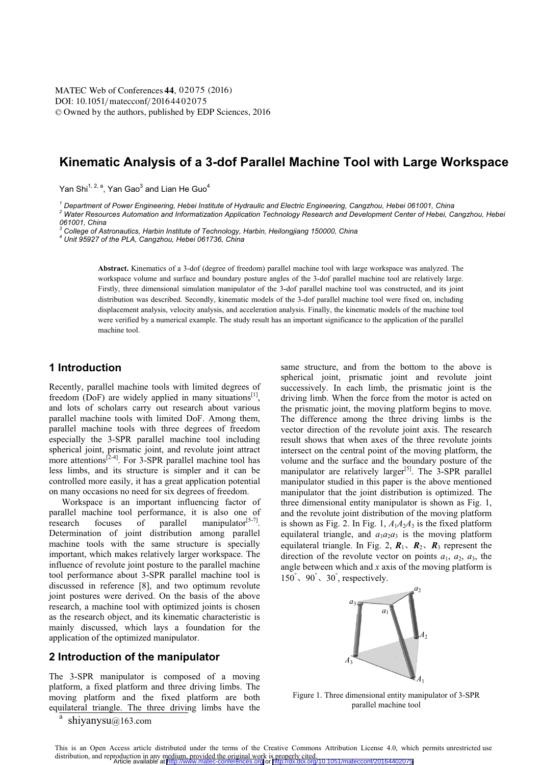DOI: 10.1051/matecconf/20164402075 © Owned by the authors, published by EDP Sciences, 2016 MATEC Web of Conferences 44, 02075 (2016)

# **Kinematic Analysis of a 3-dof Parallel Machine Tool with Large Workspace**

Yan Shi<sup>1, 2, a</sup>. Yan Gao<sup>3</sup> and Lian He Guo<sup>4</sup>

*<sup>1</sup> Department of Power Engineering, Hebei Institute of Hydraulic and Electric Engineering, Cangzhou, Hebei 061001, China 2*

 *Water Resources Automation and Informatization Application Technology Research and Development Center of Hebei, Cangzhou, Hebei 061001, China* 

*3 College of Astronautics, Harbin Institute of Technology, Harbin, Heilongjiang 150000, China 4*

 *Unit 95927 of the PLA, Cangzhou, Hebei 061736, China* 

**Abstract.** Kinematics of a 3-dof (degree of freedom) parallel machine tool with large workspace was analyzed. The workspace volume and surface and boundary posture angles of the 3-dof parallel machine tool are relatively large. Firstly, three dimensional simulation manipulator of the 3-dof parallel machine tool was constructed, and its joint distribution was described. Secondly, kinematic models of the 3-dof parallel machine tool were fixed on, including displacement analysis, velocity analysis, and acceleration analysis. Finally, the kinematic models of the machine tool were verified by a numerical example. The study result has an important significance to the application of the parallel machine tool.

# **1 Introduction**

Recently, parallel machine tools with limited degrees of freedom (DoF) are widely applied in many situations<sup>[1]</sup>, and lots of scholars carry out research about various parallel machine tools with limited DoF. Among them, parallel machine tools with three degrees of freedom especially the 3-SPR parallel machine tool including spherical joint, prismatic joint, and revolute joint attract more attentions<sup> $[2-4]$ </sup>. For 3-SPR parallel machine tool has less limbs, and its structure is simpler and it can be controlled more easily, it has a great application potential on many occasions no need for six degrees of freedom.

Workspace is an important influencing factor of parallel machine tool performance, it is also one of research focuses of parallel manipulator<sup>[5-7]</sup>. research focuses of parallel manipulator $[5-7]$ . Determination of joint distribution among parallel machine tools with the same structure is specially important, which makes relatively larger workspace. The influence of revolute joint posture to the parallel machine tool performance about 3-SPR parallel machine tool is discussed in reference [8], and two optimum revolute joint postures were derived. On the basis of the above research, a machine tool with optimized joints is chosen as the research object, and its kinematic characteristic is mainly discussed, which lays a foundation for the application of the optimized manipulator.

# **2 Introduction of the manipulator**

The 3-SPR manipulator is composed of a moving platform, a fixed platform and three driving limbs. The moving platform and the fixed platform are both equilateral triangle. The three driving limbs have the

a shiyanysu@163.com same structure, and from the bottom to the above is spherical joint, prismatic joint and revolute joint successively. In each limb, the prismatic joint is the driving limb. When the force from the motor is acted on the prismatic joint, the moving platform begins to move. The difference among the three driving limbs is the vector direction of the revolute joint axis. The research result shows that when axes of the three revolute joints intersect on the central point of the moving platform, the volume and the surface and the boundary posture of the manipulator are relatively larger<sup>[5]</sup>. The  $3$ -SPR parallel manipulator studied in this paper is the above mentioned manipulator that the joint distribution is optimized. The three dimensional entity manipulator is shown as Fig. 1, and the revolute joint distribution of the moving platform is shown as Fig. 2. In Fig. 1,  $A_1A_2A_3$  is the fixed platform equilateral triangle, and  $a_1a_2a_3$  is the moving platform equilateral triangle. In Fig. 2,  $R_1$ ,  $R_2$ ,  $R_3$  represent the direction of the revolute vector on points  $a_1$ ,  $a_2$ ,  $a_3$ , the angle between which and *x* axis of the moving platform is  $150^\circ$ ,  $90^\circ$ ,  $30^\circ$ , respectively.



Figure 1. Three dimensional entity manipulator of 3-SPR parallel machine tool

This is an Open Access article distributed under the terms of the Creative Commons Attribution License 4.0, which permits unrestricted use distribution, and reproduction in any medium, provided the original work is properly cited. Article available at <http://www.matec-conferences.org> or <http://dx.doi.org/10.1051/matecconf/20164402075>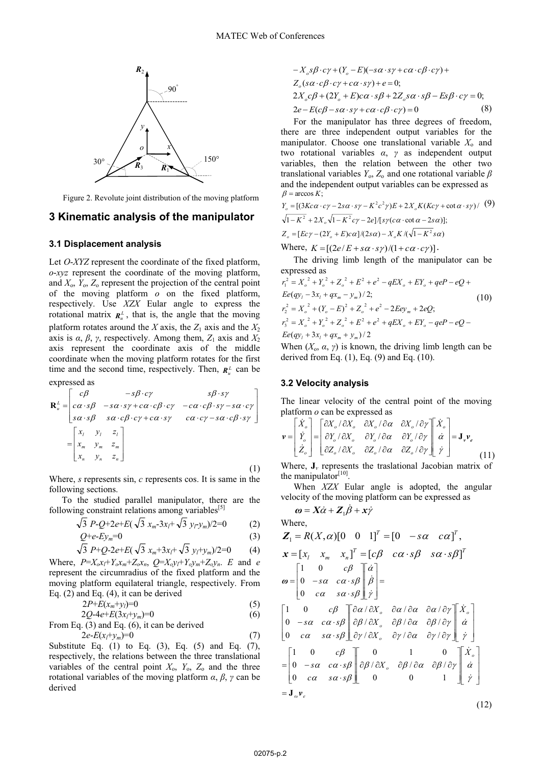

Figure 2. Revolute joint distribution of the moving platform

### **3 Kinematic analysis of the manipulator**

### **3.1 Displacement analysis**

Let *O*-*XYZ* represent the coordinate of the fixed platform, *o*-*xyz* represent the coordinate of the moving platform, and  $X_0$ ,  $Y_0$ ,  $Z_0$  represent the projection of the central point of the moving platform *o* on the fixed platform, respectively. Use *XZX* Eular angle to express the rotational matrix  $\mathbf{R}^L$ , that is, the angle that the moving platform rotates around the *X* axis, the  $Z_1$  axis and the  $X_2$ axis is  $\alpha$ ,  $\beta$ ,  $\gamma$ , respectively. Among them,  $Z_1$  axis and  $X_2$ axis represent the coordinate axis of the middle coordinate when the moving platform rotates for the first time and the second time, respectively. Then,  $\mathbf{R}_{u}^{L}$  can be expressed as

$$
\mathbf{R}_{u}^{L} = \begin{bmatrix} c\beta & -s\beta \cdot c\gamma & s\beta \cdot s\gamma \\ c\alpha \cdot s\beta & -s\alpha \cdot s\gamma + c\alpha \cdot c\beta \cdot c\gamma & -c\alpha \cdot c\beta \cdot s\gamma - s\alpha \cdot c\gamma \\ s\alpha \cdot s\beta & s\alpha \cdot c\beta \cdot c\gamma + c\alpha \cdot s\gamma & c\alpha \cdot c\gamma - s\alpha \cdot c\beta \cdot s\gamma \end{bmatrix}
$$

$$
= \begin{bmatrix} x_{1} & y_{1} & z_{1} \\ x_{m} & y_{m} & z_{m} \\ x_{n} & y_{n} & z_{n} \end{bmatrix}
$$
(1)

Where, *s* represents sin, *c* represents cos. It is same in the following sections.

To the studied parallel manipulator, there are the following constraint relations among variables<sup>[5]</sup>

$$
\sqrt{3} \ P \text{-} Q + 2e + E(\sqrt{3} x_m - 3x_l + \sqrt{3} y_l - y_m)/2 = 0 \tag{2}
$$

$$
\underset{\text{f}}{\mathcal{Q}}+e\text{-}E\text{y}_m=0\tag{3}
$$

$$
\sqrt{3} P + Q - 2e + E(\sqrt{3} x_m + 3x_l + \sqrt{3} y_l + y_m)/2 = 0 \tag{4}
$$

Where,  $P=X_0x_l+Y_0x_m+Z_0x_n$ ,  $Q=X_0y_l+Y_0y_m+Z_0y_n$ . *E* and *e* represent the circumradius of the fixed platform and the moving platform equilateral triangle, respectively. From Eq. (2) and Eq. (4), it can be derived

$$
2P + \dot{E}(x_m + y_l) = 0 \tag{5}
$$

$$
2Q-4e+E(3x_f+y_m)=0
$$
  
From Eq. (3) and Eq. (6), it can be derived

$$
2e^{-E(x_1+y_m)}=0
$$
\n(7)

Substitute Eq.  $(1)$  to Eq.  $(3)$ , Eq.  $(5)$  and Eq.  $(7)$ , respectively, the relations between the three translational variables of the central point  $X_0$ ,  $Y_0$ ,  $Z_0$  and the three rotational variables of the moving platform *α*, *β*, *γ* can be derived

$$
-X_o s\beta \cdot c\gamma + (Y_o - E)(-s\alpha \cdot s\gamma + c\alpha \cdot c\beta \cdot c\gamma) +Z_o(s\alpha \cdot c\beta \cdot c\gamma + c\alpha \cdot s\gamma) + e = 0;2X_o c\beta + (2Y_o + E)c\alpha \cdot s\beta + 2Z_o s\alpha \cdot s\beta - Es\beta \cdot c\gamma = 0;2e - E(c\beta - s\alpha \cdot s\gamma + c\alpha \cdot c\beta \cdot c\gamma) = 0
$$
(8)

For the manipulator has three degrees of freedom, there are three independent output variables for the manipulator. Choose one translational variable  $X_0$  and two rotational variables *α*, *γ* as independent output variables, then the relation between the other two translational variables  $Y_0$ ,  $Z_0$  and one rotational variable  $\beta$ and the independent output variables can be expressed as  $\beta$  = arccos *K*;

$$
Y_o = [(3Kc\alpha \cdot c\gamma - 2s\alpha \cdot s\gamma - K^2c^2\gamma)E + 2X_oK(Kc\gamma + \cot\alpha \cdot s\gamma) / (9)
$$
  
\n
$$
\sqrt{1 - K^2} + 2X_o\sqrt{1 - K^2}c\gamma - 2e]/[s\gamma(c\alpha \cdot \cot\alpha - 2s\alpha)];
$$
  
\n
$$
Z_o = [Ec\gamma - (2Y_o + E)ca]/(2s\alpha) - X_oK/(\sqrt{1 - K^2}s\alpha)
$$
  
\nWhere,  $K = [(2e/E + s\alpha \cdot s\gamma)/(1 + c\alpha \cdot c\gamma)].$ 

The driving limb length of the manipulator can be expressed as

$$
r_1^2 = X_o^2 + Y_o^2 + Z_o^2 + E^2 + e^2 - qEX_o + EY_o + qeP - eQ +
$$
  
\n
$$
Ee(qy_l - 3x_l + qx_m - y_m)/2;
$$
  
\n
$$
r_2^2 = X_o^2 + (Y_o - E)^2 + Z_o^2 + e^2 - 2Eey_m + 2eQ;
$$
  
\n
$$
r_3^2 = X_o^2 + Y_o^2 + Z_o^2 + E^2 + e^2 + qEX_o + EY_o - qeP - eQ -
$$
  
\n
$$
Ee(qy_l + 3x_l + qx_m + y_m)/2
$$
\n(10)

When  $(X_0, \alpha, \gamma)$  is known, the driving limb length can be derived from Eq.  $(1)$ , Eq.  $(9)$  and Eq.  $(10)$ .

### **3.2 Velocity analysis**

The linear velocity of the central point of the moving platform *o* can be expressed as

$$
\mathbf{v} = \begin{bmatrix} \dot{X}_o \\ \dot{Y}_o \\ \dot{Z}_o \end{bmatrix} = \begin{bmatrix} \frac{\partial X_o}{\partial X_o} & \frac{\partial X_o}{\partial X_o} & \frac{\partial X_o}{\partial \alpha} & \frac{\partial X_o}{\partial \gamma} \\ \frac{\partial Y_o}{\partial Z_o} & \frac{\partial Y_o}{\partial X_o} & \frac{\partial Y_o}{\partial \alpha} & \frac{\partial Y_o}{\partial \gamma} \end{bmatrix} \begin{bmatrix} \dot{X}_o \\ \dot{\alpha} \\ \dot{\gamma} \end{bmatrix} = \mathbf{J}_v \mathbf{v}_e
$$
\n(11)

Where,  $J_\nu$  represents the traslational Jacobian matrix of the manipulator $[10]$ .

When *XZX* Eular angle is adopted, the angular velocity of the moving platform can be expressed as

$$
\omega = X\dot{\alpha} + Z_1\dot{\beta} + x\dot{\gamma}
$$
  
\nWhere,  
\n
$$
Z_1 = R(X, \alpha)[0 \quad 0 \quad 1]^T = [0 \quad -s\alpha \quad c\alpha]^T,
$$
\n
$$
x = [x_l \quad x_m \quad x_n]^T = [c\beta \quad c\alpha \cdot s\beta \quad s\alpha \cdot s\beta]^T
$$
\n
$$
\omega = \begin{bmatrix} 1 & 0 & c\beta \\ 0 & -s\alpha & c\alpha \cdot s\beta \\ 0 & c\alpha & s\alpha \cdot s\beta \end{bmatrix} \begin{bmatrix} \dot{\alpha} \\ \dot{\beta} \\ \dot{\gamma} \end{bmatrix} =
$$
\n
$$
\begin{bmatrix} 1 & 0 & c\beta \\ 0 & -s\alpha & c\alpha \cdot s\beta \\ 0 & c\alpha & s\alpha \cdot s\beta \end{bmatrix} \begin{bmatrix} \frac{\partial \alpha}{\partial X}, \frac{\partial \alpha}{\partial \alpha} \\ \frac{\partial \beta}{\partial X}, \frac{\partial \beta}{\partial \alpha} \\ \frac{\partial \gamma}{\partial \alpha} \\ \frac{\partial \gamma}{\partial Y} \end{bmatrix} \begin{bmatrix} \dot{X}, \\ \dot{\alpha} \\ \dot{\gamma} \end{bmatrix}
$$
\n
$$
= \begin{bmatrix} 1 & 0 & c\beta \\ 0 & -s\alpha & c\alpha \cdot s\beta \\ 0 & c\alpha & s\alpha \cdot s\beta \end{bmatrix} \begin{bmatrix} 0 & 1 & 0 \\ \frac{\partial \beta}{\partial X}, \frac{\partial \beta}{\partial \alpha} \\ \frac{\partial \beta}{\partial \alpha} \\ \frac{\partial \beta}{\partial \alpha} \\ \frac{\partial \beta}{\partial \gamma} \end{bmatrix} \begin{bmatrix} \dot{X}, \\ \dot{\alpha} \\ \dot{\gamma} \\ \dot{\gamma} \end{bmatrix} = J_{\omega} \mathbf{v}_e
$$
\n(12)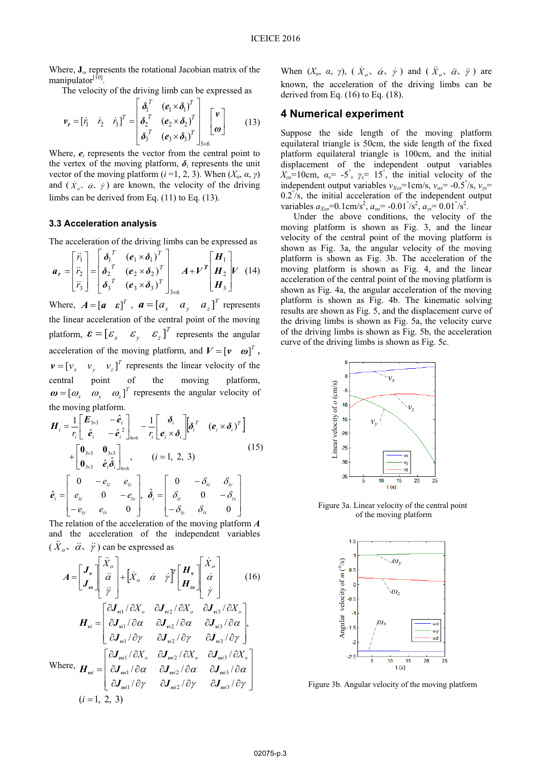Where, **J***<sup>ω</sup>* represents the rotational Jacobian matrix of the manipulator[10].

The velocity of the driving limb can be expressed as

$$
\boldsymbol{v}_r = [\dot{r}_1 \quad \dot{r}_2 \quad \dot{r}_3]^T = \begin{bmatrix} \boldsymbol{\delta}_1^T & (\boldsymbol{e}_1 \times \boldsymbol{\delta}_1)^T \\ \boldsymbol{\delta}_2^T & (\boldsymbol{e}_2 \times \boldsymbol{\delta}_2)^T \\ \boldsymbol{\delta}_3^T & (\boldsymbol{e}_3 \times \boldsymbol{\delta}_3)^T \end{bmatrix}_{3 \times 6} \begin{bmatrix} \boldsymbol{v} \\ \boldsymbol{\omega} \end{bmatrix}
$$
(13)

Where,  $e_i$  represents the vector from the central point to the vertex of the moving platform,  $\delta_i$  represents the unit vector of the moving platform  $(i=1, 2, 3)$ . When  $(X_0, \alpha, \gamma)$ and  $(\dot{x}_o, \dot{\alpha}, \dot{\gamma})$  are known, the velocity of the driving limbs can be derived from Eq. (11) to Eq. (13).

#### **3.3 Acceleration analysis**

The acceleration of the driving limbs can be expressed as

$$
\boldsymbol{a}_{r} = \begin{bmatrix} \ddot{r}_{1} \\ \ddot{r}_{2} \\ \ddot{r}_{3} \end{bmatrix} = \begin{bmatrix} \delta_{1}^{T} & (\boldsymbol{e}_{1} \times \boldsymbol{\delta}_{1})^{T} \\ \delta_{2}^{T} & (\boldsymbol{e}_{2} \times \boldsymbol{\delta}_{2})^{T} \\ \delta_{3}^{T} & (\boldsymbol{e}_{3} \times \boldsymbol{\delta}_{3})^{T} \end{bmatrix}_{3 \times 6} \boldsymbol{A} + \boldsymbol{V}^{T} \begin{bmatrix} \boldsymbol{H}_{1} \\ \boldsymbol{H}_{2} \\ \boldsymbol{H}_{3} \end{bmatrix} \boldsymbol{V} \tag{14}
$$

Where,  $A = [a \ \varepsilon]^T$ ,  $a = [a_x \ a_y \ a_z]^T$  represents the linear acceleration of the central point of the moving platform,  $\boldsymbol{\varepsilon} = \begin{bmatrix} \varepsilon_x & \varepsilon_y & \varepsilon_z \end{bmatrix}^T$  represents the angular acceleration of the moving platform, and  $V = \begin{bmatrix} v & \omega \end{bmatrix}^T$ ,  $\mathbf{v} = \begin{bmatrix} v_x & v_y & v_z \end{bmatrix}^T$  represents the linear velocity of the central point of the moving platform,  $\boldsymbol{\omega} = [\omega_x \quad \omega_y \quad \omega_z]^T$  represents the angular velocity of the moving platform.

$$
\boldsymbol{H}_{i} = \frac{1}{r_{i}} \begin{bmatrix} \boldsymbol{E}_{3\times 3} & -\hat{\boldsymbol{e}}_{i} \\ \hat{\boldsymbol{e}}_{i} & -\hat{\boldsymbol{e}}_{i}^{2} \end{bmatrix}_{6\times 6} - \frac{1}{r_{i}} \begin{bmatrix} \boldsymbol{\delta}_{i} \\ \boldsymbol{e}_{i} \times \boldsymbol{\delta}_{i} \end{bmatrix} \begin{bmatrix} \boldsymbol{\delta}_{i}^{T} & (\boldsymbol{e}_{i} \times \boldsymbol{\delta}_{i})^{T} \end{bmatrix} + \begin{bmatrix} \boldsymbol{0}_{3\times 3} & \boldsymbol{0}_{3\times 3} \\ \boldsymbol{0}_{3\times 3} & \hat{\boldsymbol{e}}_{i} \hat{\boldsymbol{\delta}}_{i} \end{bmatrix}_{6\times 6}, \qquad (i = 1, 2, 3)
$$
\n
$$
\hat{\boldsymbol{e}}_{i} = \begin{bmatrix} 0 & -\boldsymbol{e}_{iz} & \boldsymbol{e}_{iy} \\ \boldsymbol{e}_{iz} & 0 & -\boldsymbol{e}_{ix} \\ -\boldsymbol{e}_{iy} & \boldsymbol{e}_{ix} & 0 \end{bmatrix}, \quad \hat{\boldsymbol{\delta}}_{i} = \begin{bmatrix} 0 & -\boldsymbol{\delta}_{iz} & \boldsymbol{\delta}_{iy} \\ \boldsymbol{\delta}_{iz} & 0 & -\boldsymbol{\delta}_{ix} \\ -\boldsymbol{\delta}_{iy} & \boldsymbol{\delta}_{ix} & 0 \end{bmatrix}
$$

The relation of the acceleration of the moving platform *A* and the acceleration of the independent variables  $(\ddot{X}_o, \ddot{\alpha}, \ddot{\gamma})$  can be expressed as

$$
A = \begin{bmatrix} J_{\nu} \\ J_{\omega} \end{bmatrix} \begin{bmatrix} \ddot{X}_{o} \\ \ddot{\alpha} \\ \ddot{\gamma} \end{bmatrix} + \begin{bmatrix} \dot{X}_{o} & \dot{\alpha} & \dot{\gamma} \end{bmatrix} \begin{bmatrix} H_{\nu} \\ H_{\omega} \end{bmatrix} \begin{bmatrix} \dot{X}_{o} \\ \dot{\alpha} \\ \dot{\gamma} \end{bmatrix}
$$
(16)  

$$
H_{\nu i} = \begin{bmatrix} \frac{\partial J_{\nu i1}}{\partial X_{o}} & \frac{\partial J_{\nu i2}}{\partial X_{o}} & \frac{\partial J_{\nu i3}}{\partial X_{o}} \\ \frac{\partial J_{\nu i1}}{\partial Y_{o}} & \frac{\partial J_{\nu i2}}{\partial Y_{o}} & \frac{\partial J_{\nu i3}}{\partial Y_{o}} \end{bmatrix},
$$
  
Where, 
$$
H_{\omega i} = \begin{bmatrix} \frac{\partial J_{\omega i1}}{\partial X_{o}} & \frac{\partial J_{\omega i2}}{\partial X_{o}} & \frac{\partial J_{\omega i3}}{\partial X_{o}} \\ \frac{\partial J_{\omega i1}}{\partial X_{o}} & \frac{\partial J_{\omega i2}}{\partial X_{o}} & \frac{\partial J_{\omega i3}}{\partial X_{o}} \end{bmatrix},
$$

$$
(i = 1, 2, 3)
$$

When  $(X_0, \alpha, \gamma)$ ,  $(\dot{X}_0, \dot{\alpha}, \dot{\gamma})$  and  $(\ddot{X}_0, \ddot{\alpha}, \ddot{\gamma})$  are known, the acceleration of the driving limbs can be derived from Eq.  $(16)$  to Eq.  $(18)$ .

## **4 Numerical experiment**

Suppose the side length of the moving platform equilateral triangle is 50cm, the side length of the fixed platform equilateral triangle is 100cm, and the initial displacement of the independent output variables  $X_{\alpha s} = 10$ cm,  $\alpha_s = -5^\circ$ ,  $\gamma_s = 15^\circ$ , the initial velocity of the independent output variables  $v_{Xos} = 1$ cm/s,  $v_{as} = -0.5$ <sup>°</sup>/s,  $v_{ys} =$  $0.2^{\degree}/s$ , the initial acceleration of the independent output variables  $a_{Xos} = 0.1 \text{ cm/s}^2$ ,  $a_{as} = -0.01^\circ/\text{s}^2$ ,  $a_{ys} = 0.01^\circ/\text{s}^2$ .

Under the above conditions, the velocity of the moving platform is shown as Fig. 3, and the linear velocity of the central point of the moving platform is shown as Fig. 3a, the angular velocity of the moving platform is shown as Fig. 3b. The acceleration of the moving platform is shown as Fig. 4, and the linear acceleration of the central point of the moving platform is shown as Fig. 4a, the angular acceleration of the moving platform is shown as Fig. 4b. The kinematic solving results are shown as Fig. 5, and the displacement curve of the driving limbs is shown as Fig. 5a, the velocity curve of the driving limbs is shown as Fig. 5b, the acceleration curve of the driving limbs is shown as Fig. 5c.



Figure 3a. Linear velocity of the central point of the moving platform

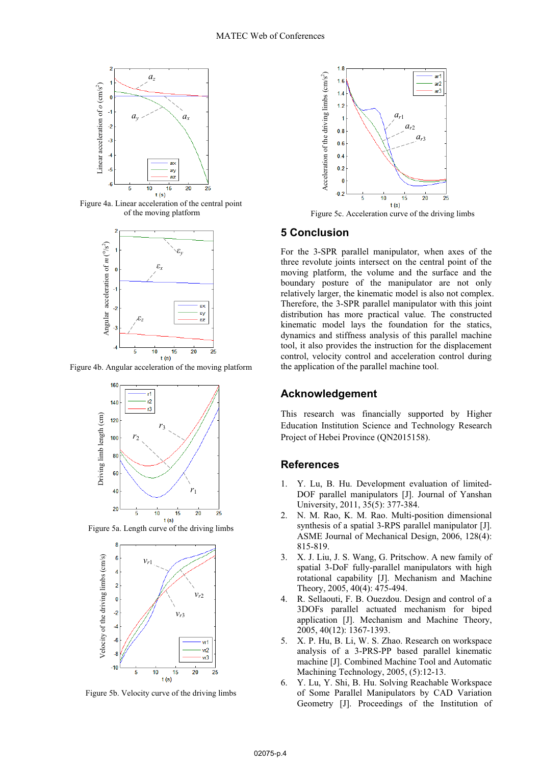

Figure 4a. Linear acceleration of the central point of the moving platform



Figure 4b. Angular acceleration of the moving platform



Figure 5a. Length curve of the driving limbs



Figure 5b. Velocity curve of the driving limbs



Figure 5c. Acceleration curve of the driving limbs

### **5 Conclusion**

For the 3-SPR parallel manipulator, when axes of the three revolute joints intersect on the central point of the moving platform, the volume and the surface and the boundary posture of the manipulator are not only relatively larger, the kinematic model is also not complex. Therefore, the 3-SPR parallel manipulator with this joint distribution has more practical value. The constructed kinematic model lays the foundation for the statics, dynamics and stiffness analysis of this parallel machine tool, it also provides the instruction for the displacement control, velocity control and acceleration control during the application of the parallel machine tool. For the Hart of the Hart of the Institution of the Formula Solid 11-1 and the 3-8 and the 1-8 and the 1-8 and the 1-8 and the 1-8 and the 1-8 and the 1-8 and the 1-8 and the 1-8 and the 1-8 and the 1-8 and the 1-8 and the

# **Acknowledgement**

This research was financially supported by Higher Education Institution Science and Technology Research Project of Hebei Province (QN2015158).

# **References**

- 1. Y. Lu, B. Hu. Development evaluation of limited-DOF parallel manipulators [J]. Journal of Yanshan University, 2011, 35(5): 377-384.
- 2. N. M. Rao, K. M. Rao. Multi-position dimensional synthesis of a spatial 3-RPS parallel manipulator [J]. ASME Journal of Mechanical Design, 2006, 128(4): 815-819.
- 3. X. J. Liu, J. S. Wang, G. Pritschow. A new family of spatial 3-DoF fully-parallel manipulators with high rotational capability [J]. Mechanism and Machine Theory, 2005, 40(4): 475-494.
- 4. R. Sellaouti, F. B. Ouezdou. Design and control of a 3DOFs parallel actuated mechanism for biped application [J]. Mechanism and Machine Theory, 2005, 40(12): 1367-1393.
- 5. X. P. Hu, B. Li, W. S. Zhao. Research on workspace analysis of a 3-PRS-PP based parallel kinematic machine [J]. Combined Machine Tool and Automatic Machining Technology, 2005, (5):12-13.
- 6. Y. Lu, Y. Shi, B. Hu. Solving Reachable Workspace of Some Parallel Manipulators by CAD Variation